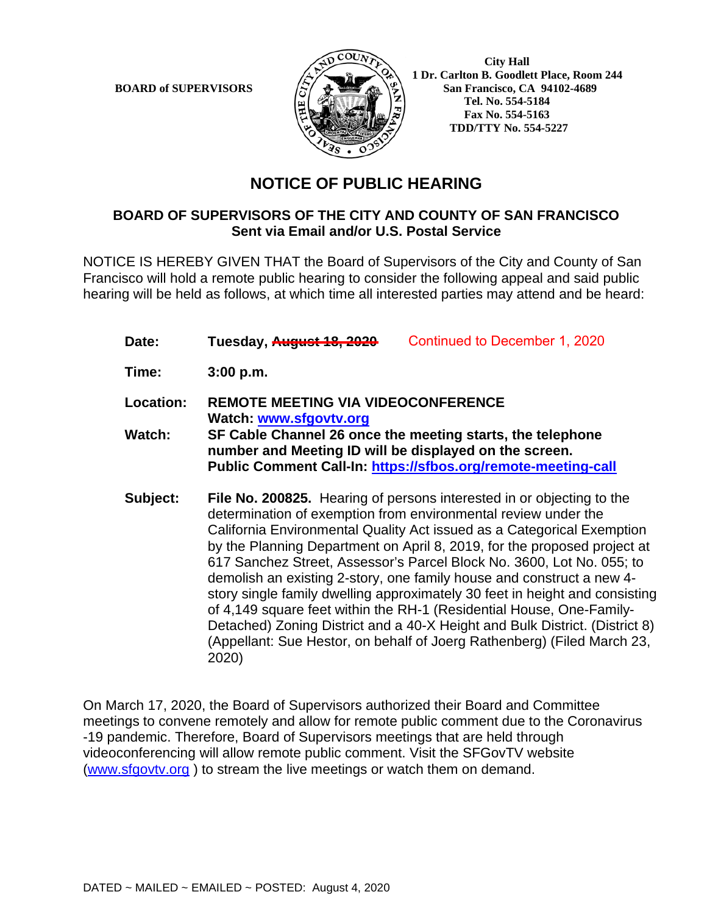

 **City Hall 1 Dr. Carlton B. Goodlett Place, Room 244 BOARD of SUPERVISORS**  $\left|\frac{S}{S}\right| \oplus \left|\frac{S}{S}\right|$  San Francisco, CA 94102-4689  **Tel. No. 554-5184 Fax No. 554-5163 TDD/TTY No. 554-5227**

## **NOTICE OF PUBLIC HEARING**

## **BOARD OF SUPERVISORS OF THE CITY AND COUNTY OF SAN FRANCISCO Sent via Email and/or U.S. Postal Service**

NOTICE IS HEREBY GIVEN THAT the Board of Supervisors of the City and County of San Francisco will hold a remote public hearing to consider the following appeal and said public hearing will be held as follows, at which time all interested parties may attend and be heard:

- **Date: Tuesday, August 18, 2020** Continued to December 1, 2020
- **Time: 3:00 p.m.**
- **Location: REMOTE MEETING VIA VIDEOCONFERENCE Watch: www.sfgovtv.org**
- **Watch: SF Cable Channel 26 once the meeting starts, the telephone number and Meeting ID will be displayed on the screen. Public Comment Call-In: https://sfbos.org/remote-meeting-call**
- **Subject: File No. 200825.** Hearing of persons interested in or objecting to the determination of exemption from environmental review under the California Environmental Quality Act issued as a Categorical Exemption by the Planning Department on April 8, 2019, for the proposed project at 617 Sanchez Street, Assessor's Parcel Block No. 3600, Lot No. 055; to demolish an existing 2-story, one family house and construct a new 4 story single family dwelling approximately 30 feet in height and consisting of 4,149 square feet within the RH-1 (Residential House, One-Family-Detached) Zoning District and a 40-X Height and Bulk District. (District 8) (Appellant: Sue Hestor, on behalf of Joerg Rathenberg) (Filed March 23, 2020)

On March 17, 2020, the Board of Supervisors authorized their Board and Committee meetings to convene remotely and allow for remote public comment due to the Coronavirus -19 pandemic. Therefore, Board of Supervisors meetings that are held through videoconferencing will allow remote public comment. Visit the SFGovTV website (www.sfgovtv.org ) to stream the live meetings or watch them on demand.